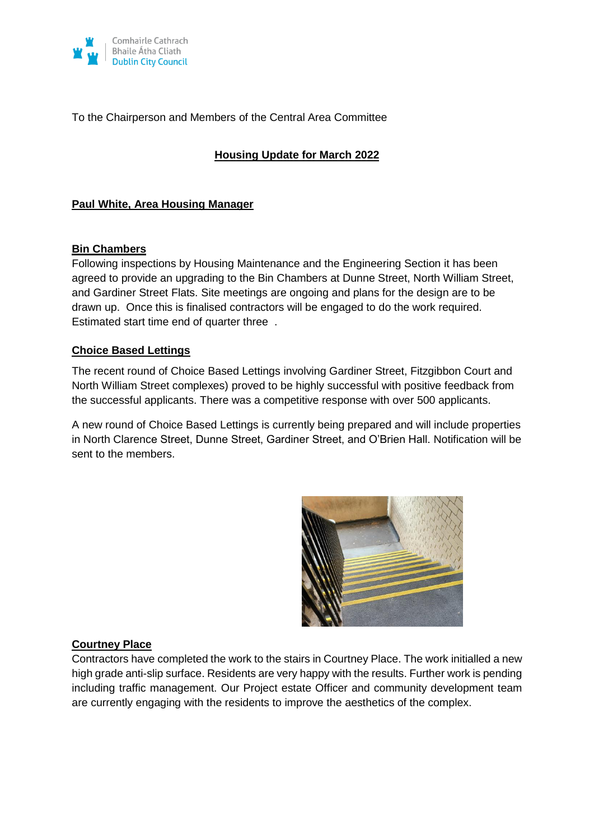

#### To the Chairperson and Members of the Central Area Committee

### **Housing Update for March 2022**

#### **Paul White, Area Housing Manager**

#### **Bin Chambers**

Following inspections by Housing Maintenance and the Engineering Section it has been agreed to provide an upgrading to the Bin Chambers at Dunne Street, North William Street, and Gardiner Street Flats. Site meetings are ongoing and plans for the design are to be drawn up. Once this is finalised contractors will be engaged to do the work required. Estimated start time end of quarter three .

#### **Choice Based Lettings**

The recent round of Choice Based Lettings involving Gardiner Street, Fitzgibbon Court and North William Street complexes) proved to be highly successful with positive feedback from the successful applicants. There was a competitive response with over 500 applicants.

A new round of Choice Based Lettings is currently being prepared and will include properties in North Clarence Street, Dunne Street, Gardiner Street, and O'Brien Hall. Notification will be sent to the members.



#### **Courtney Place**

Contractors have completed the work to the stairs in Courtney Place. The work initialled a new high grade anti-slip surface. Residents are very happy with the results. Further work is pending including traffic management. Our Project estate Officer and community development team are currently engaging with the residents to improve the aesthetics of the complex.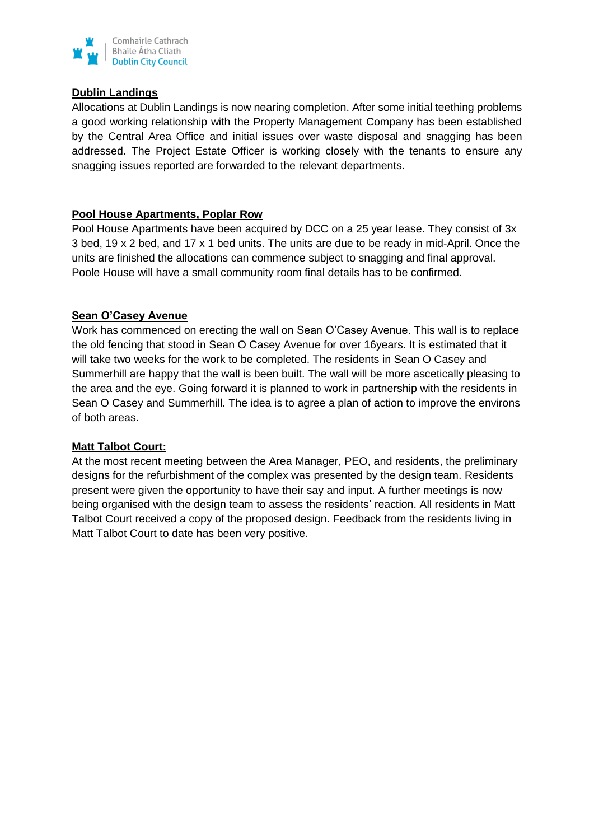

#### **Dublin Landings**

Allocations at Dublin Landings is now nearing completion. After some initial teething problems a good working relationship with the Property Management Company has been established by the Central Area Office and initial issues over waste disposal and snagging has been addressed. The Project Estate Officer is working closely with the tenants to ensure any snagging issues reported are forwarded to the relevant departments.

#### **Pool House Apartments, Poplar Row**

Pool House Apartments have been acquired by DCC on a 25 year lease. They consist of 3x 3 bed, 19 x 2 bed, and 17 x 1 bed units. The units are due to be ready in mid-April. Once the units are finished the allocations can commence subject to snagging and final approval. Poole House will have a small community room final details has to be confirmed.

#### **Sean O'Casey Avenue**

Work has commenced on erecting the wall on Sean O'Casey Avenue. This wall is to replace the old fencing that stood in Sean O Casey Avenue for over 16years. It is estimated that it will take two weeks for the work to be completed. The residents in Sean O Casey and Summerhill are happy that the wall is been built. The wall will be more ascetically pleasing to the area and the eye. Going forward it is planned to work in partnership with the residents in Sean O Casey and Summerhill. The idea is to agree a plan of action to improve the environs of both areas.

#### **Matt Talbot Court:**

At the most recent meeting between the Area Manager, PEO, and residents, the preliminary designs for the refurbishment of the complex was presented by the design team. Residents present were given the opportunity to have their say and input. A further meetings is now being organised with the design team to assess the residents' reaction. All residents in Matt Talbot Court received a copy of the proposed design. Feedback from the residents living in Matt Talbot Court to date has been very positive.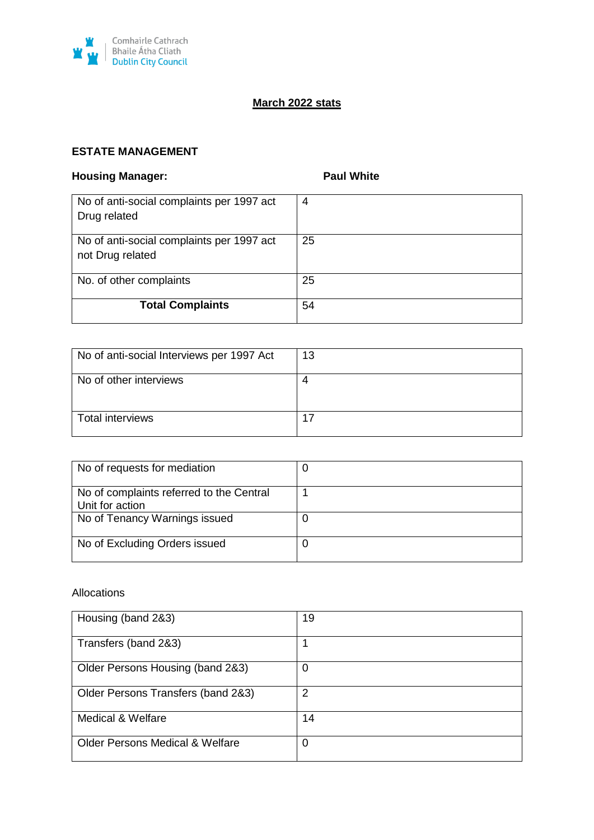

# **March 2022 stats**

## **ESTATE MANAGEMENT**

## **Housing Manager: Paul White Paul White**

| No of anti-social complaints per 1997 act<br>Drug related     | 4  |
|---------------------------------------------------------------|----|
| No of anti-social complaints per 1997 act<br>not Drug related | 25 |
| No. of other complaints                                       | 25 |
| <b>Total Complaints</b>                                       | 54 |

| No of anti-social Interviews per 1997 Act | 13 |
|-------------------------------------------|----|
| No of other interviews                    | 4  |
| Total interviews                          | 17 |

| No of requests for mediation                                |  |
|-------------------------------------------------------------|--|
| No of complaints referred to the Central<br>Unit for action |  |
| No of Tenancy Warnings issued                               |  |
| No of Excluding Orders issued                               |  |

#### Allocations

| Housing (band 2&3)                         | 19 |
|--------------------------------------------|----|
| Transfers (band 2&3)                       |    |
| Older Persons Housing (band 2&3)           | 0  |
| Older Persons Transfers (band 2&3)         | 2  |
| <b>Medical &amp; Welfare</b>               | 14 |
| <b>Older Persons Medical &amp; Welfare</b> | 0  |